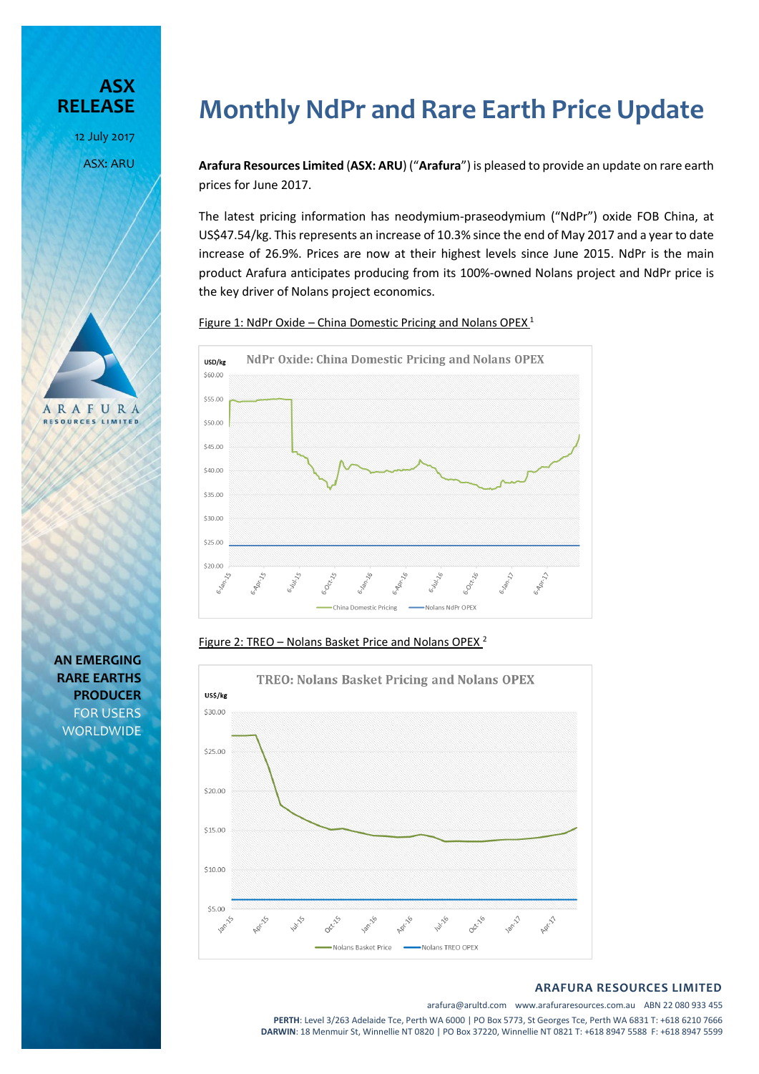**ASX RELEASE** 12 July 2017 ASX: ARU



**AN EMERGING RARE EARTHS PRODUCER** FOR USERS **WORLDWIDE** 

# **Monthly NdPr and Rare Earth Price Update**

**Arafura Resources Limited** (**ASX: ARU**) ("**Arafura**") is pleased to provide an update on rare earth prices for June 2017.

The latest pricing information has neodymium-praseodymium ("NdPr") oxide FOB China, at US\$47.54/kg. This represents an increase of 10.3% since the end of May 2017 and a year to date increase of 26.9%. Prices are now at their highest levels since June 2015. NdPr is the main product Arafura anticipates producing from its 100%-owned Nolans project and NdPr price is the key driver of Nolans project economics.

Figure 1: NdPr Oxide – China Domestic Pricing and Nolans OPEX<sup>1</sup>



Figure 2: TREO – Nolans Basket Price and Nolans OPEX<sup>2</sup>



#### **ARAFURA RESOURCES LIMITED**

arafura@arultd.com www.arafuraresources.com.au ABN 22 080 933 455

**PERTH**: Level 3/263 Adelaide Tce, Perth WA 6000 | PO Box 5773, St Georges Tce, Perth WA 6831 T: +618 6210 7666 **DARWIN**: 18 Menmuir St, Winnellie NT 0820 | PO Box 37220, Winnellie NT 0821 T: +618 8947 5588 F: +618 8947 5599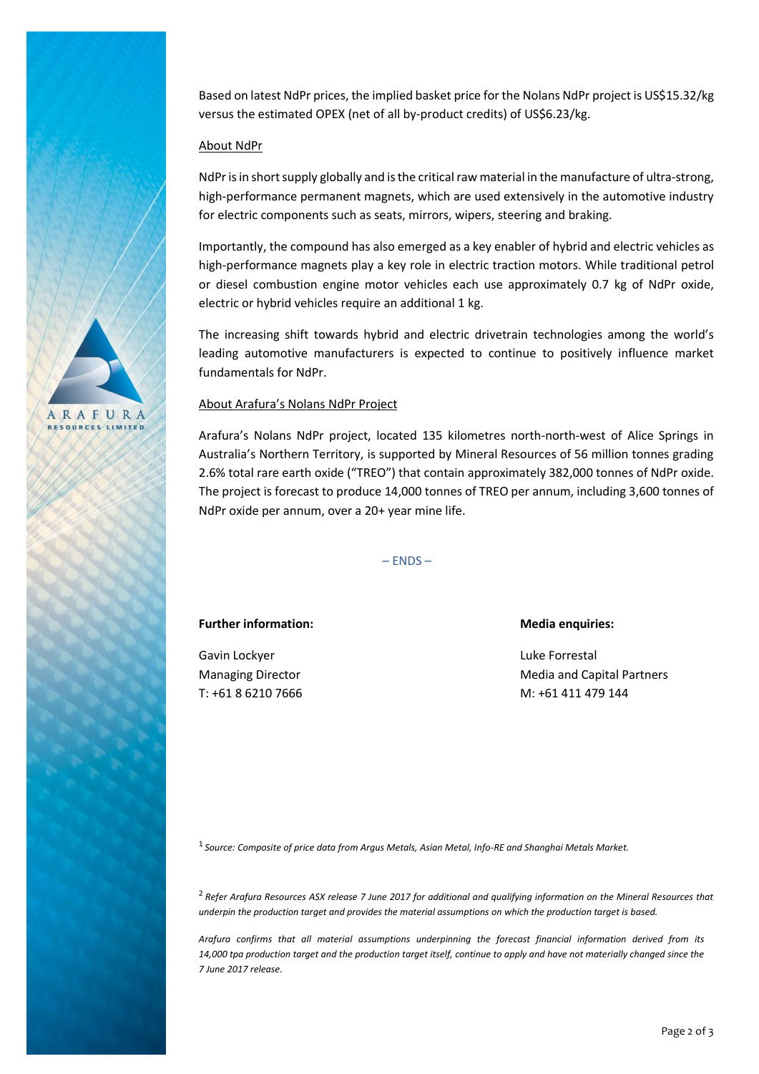ARAFURA **RESOURCES LIMITED** 

Based on latest NdPr prices, the implied basket price for the Nolans NdPr project is US\$15.32/kg versus the estimated OPEX (net of all by-product credits) of US\$6.23/kg.

## About NdPr

NdPr is in short supply globally and isthe critical raw material in the manufacture of ultra-strong, high-performance permanent magnets, which are used extensively in the automotive industry for electric components such as seats, mirrors, wipers, steering and braking.

Importantly, the compound has also emerged as a key enabler of hybrid and electric vehicles as high-performance magnets play a key role in electric traction motors. While traditional petrol or diesel combustion engine motor vehicles each use approximately 0.7 kg of NdPr oxide, electric or hybrid vehicles require an additional 1 kg.

The increasing shift towards hybrid and electric drivetrain technologies among the world's leading automotive manufacturers is expected to continue to positively influence market fundamentals for NdPr.

### About Arafura's Nolans NdPr Project

Arafura's Nolans NdPr project, located 135 kilometres north-north-west of Alice Springs in Australia's Northern Territory, is supported by Mineral Resources of 56 million tonnes grading 2.6% total rare earth oxide ("TREO") that contain approximately 382,000 tonnes of NdPr oxide. The project is forecast to produce 14,000 tonnes of TREO per annum, including 3,600 tonnes of NdPr oxide per annum, over a 20+ year mine life.

– ENDS –

**Further information: Media enquiries:**

Gavin Lockyer **Luke Forrestal** 

Managing Director **Media and Capital Partners** Media and Capital Partners T: +61 8 6210 7666 M: +61 411 479 144

1 *Source: Composite of price data from Argus Metals, Asian Metal, Info-RE and Shanghai Metals Market.*

<sup>2</sup>*Refer Arafura Resources ASX release 7 June 2017 for additional and qualifying information on the Mineral Resources that underpin the production target and provides the material assumptions on which the production target is based.*

*Arafura confirms that all material assumptions underpinning the forecast financial information derived from its 14,000 tpa production target and the production target itself, continue to apply and have not materially changed since the 7 June 2017 release.*